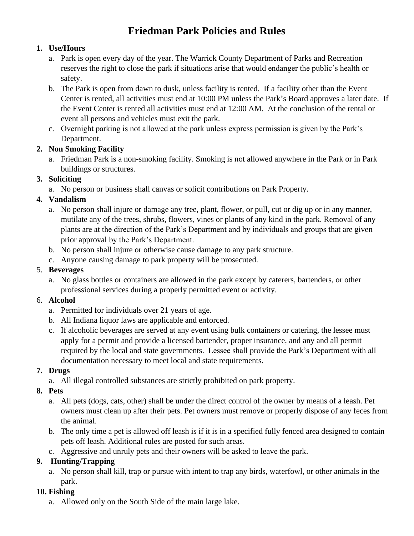# **Friedman Park Policies and Rules**

### **1. Use/Hours**

- a. Park is open every day of the year. The Warrick County Department of Parks and Recreation reserves the right to close the park if situations arise that would endanger the public's health or safety.
- b. The Park is open from dawn to dusk, unless facility is rented. If a facility other than the Event Center is rented, all activities must end at 10:00 PM unless the Park's Board approves a later date. If the Event Center is rented all activities must end at 12:00 AM. At the conclusion of the rental or event all persons and vehicles must exit the park.
- c. Overnight parking is not allowed at the park unless express permission is given by the Park's Department.

### **2. Non Smoking Facility**

a. Friedman Park is a non-smoking facility. Smoking is not allowed anywhere in the Park or in Park buildings or structures.

### **3. Soliciting**

a. No person or business shall canvas or solicit contributions on Park Property.

### **4. Vandalism**

- a. No person shall injure or damage any tree, plant, flower, or pull, cut or dig up or in any manner, mutilate any of the trees, shrubs, flowers, vines or plants of any kind in the park. Removal of any plants are at the direction of the Park's Department and by individuals and groups that are given prior approval by the Park's Department.
- b. No person shall injure or otherwise cause damage to any park structure.
- c. Anyone causing damage to park property will be prosecuted.

### 5. **Beverages**

a. No glass bottles or containers are allowed in the park except by caterers, bartenders, or other professional services during a properly permitted event or activity.

### 6. **Alcohol**

- a. Permitted for individuals over 21 years of age.
- b. All Indiana liquor laws are applicable and enforced.
- c. If alcoholic beverages are served at any event using bulk containers or catering, the lessee must apply for a permit and provide a licensed bartender, proper insurance, and any and all permit required by the local and state governments. Lessee shall provide the Park's Department with all documentation necessary to meet local and state requirements.

# **7. Drugs**

a. All illegal controlled substances are strictly prohibited on park property.

### **8. Pets**

- a. All pets (dogs, cats, other) shall be under the direct control of the owner by means of a leash. Pet owners must clean up after their pets. Pet owners must remove or properly dispose of any feces from the animal.
- b. The only time a pet is allowed off leash is if it is in a specified fully fenced area designed to contain pets off leash. Additional rules are posted for such areas.
- c. Aggressive and unruly pets and their owners will be asked to leave the park.

# **9. Hunting/Trapping**

a. No person shall kill, trap or pursue with intent to trap any birds, waterfowl, or other animals in the park.

# **10. Fishing**

a. Allowed only on the South Side of the main large lake.